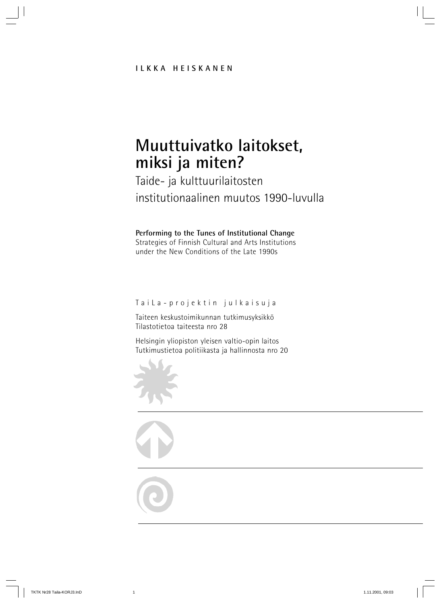# **Muuttuivatko laitokset, miksi ja miten?**

### Taide- ja kulttuurilaitosten institutionaalinen muutos 1990-luvulla

#### **Performing to the Tunes of Institutional Change**

Strategies of Finnish Cultural and Arts Institutions under the New Conditions of the Late 1990s

#### TaiLa-projektin julkaisuja

Taiteen keskustoimikunnan tutkimusyksikkö Tilastotietoa taiteesta nro 28

Helsingin yliopiston yleisen valtio-opin laitos Tutkimustietoa politiikasta ja hallinnosta nro 20

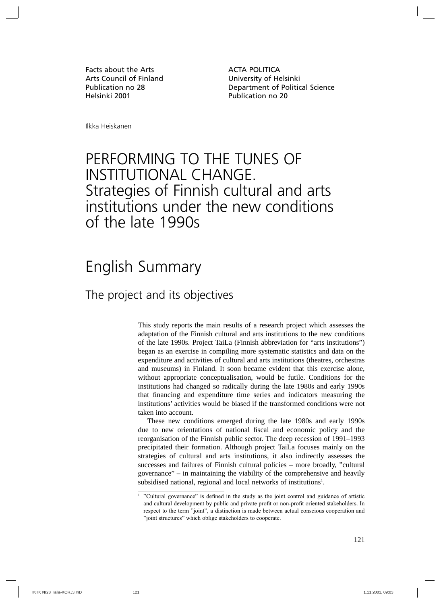Facts about the Arts **ACTA POLITICA** Arts Council of Finland University of Helsinki Helsinki 2001 **Publication no 20** 

Publication no 28 Department of Political Science

Ilkka Heiskanen

## PERFORMING TO THE TUNES OF INSTITUTIONAL CHANGE. Strategies of Finnish cultural and arts institutions under the new conditions of the late 1990s

## English Summary

### The project and its objectives

This study reports the main results of a research project which assesses the adaptation of the Finnish cultural and arts institutions to the new conditions of the late 1990s. Project TaiLa (Finnish abbreviation for "arts institutions") began as an exercise in compiling more systematic statistics and data on the expenditure and activities of cultural and arts institutions (theatres, orchestras and museums) in Finland. It soon became evident that this exercise alone, without appropriate conceptualisation, would be futile. Conditions for the institutions had changed so radically during the late 1980s and early 1990s that financing and expenditure time series and indicators measuring the institutions' activities would be biased if the transformed conditions were not taken into account.

These new conditions emerged during the late 1980s and early 1990s due to new orientations of national fiscal and economic policy and the reorganisation of the Finnish public sector. The deep recession of 1991–1993 precipitated their formation. Although project TaiLa focuses mainly on the strategies of cultural and arts institutions, it also indirectly assesses the successes and failures of Finnish cultural policies – more broadly, "cultural governance" – in maintaining the viability of the comprehensive and heavily subsidised national, regional and local networks of institutions<sup>1</sup>.

<sup>&</sup>lt;sup>1</sup> "Cultural governance" is defined in the study as the joint control and guidance of artistic and cultural development by public and private profit or non-profit oriented stakeholders. In respect to the term "joint", a distinction is made between actual conscious cooperation and "joint structures" which oblige stakeholders to cooperate.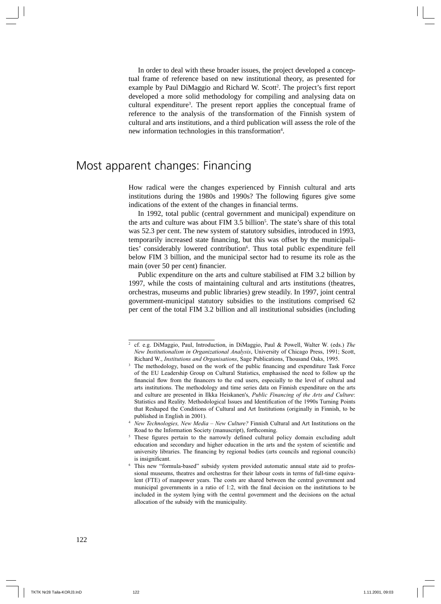In order to deal with these broader issues, the project developed a conceptual frame of reference based on new institutional theory, as presented for example by Paul DiMaggio and Richard W. Scott<sup>2</sup>. The project's first report developed a more solid methodology for compiling and analysing data on cultural expenditure<sup>3</sup>. The present report applies the conceptual frame of reference to the analysis of the transformation of the Finnish system of cultural and arts institutions, and a third publication will assess the role of the new information technologies in this transformation<sup>4</sup>.

### Most apparent changes: Financing

How radical were the changes experienced by Finnish cultural and arts institutions during the 1980s and 1990s? The following figures give some indications of the extent of the changes in financial terms.

In 1992, total public (central government and municipal) expenditure on the arts and culture was about FIM 3.5 billion<sup>5</sup>. The state's share of this total was 52.3 per cent. The new system of statutory subsidies, introduced in 1993, temporarily increased state financing, but this was offset by the municipalities' considerably lowered contribution<sup>6</sup>. Thus total public expenditure fell below FIM 3 billion, and the municipal sector had to resume its role as the main (over 50 per cent) financier.

Public expenditure on the arts and culture stabilised at FIM 3.2 billion by 1997, while the costs of maintaining cultural and arts institutions (theatres, orchestras, museums and public libraries) grew steadily. In 1997, joint central government-municipal statutory subsidies to the institutions comprised 62 per cent of the total FIM 3.2 billion and all institutional subsidies (including

<sup>2</sup> cf. e.g. DiMaggio, Paul, Introduction, in DiMaggio, Paul & Powell, Walter W. (eds.) *The New Institutionalism in Organizational Analysis*, University of Chicago Press, 1991; Scott, Richard W., *Institutions and Organisations*, Sage Publications, Thousand Oaks, 1995.

<sup>&</sup>lt;sup>3</sup> The methodology, based on the work of the public financing and expenditure Task Force of the EU Leadership Group on Cultural Statistics, emphasised the need to follow up the financial flow from the financers to the end users, especially to the level of cultural and arts institutions. The methodology and time series data on Finnish expenditure on the arts and culture are presented in Ilkka Heiskanen's, *Public Financing of the Arts and Culture*: Statistics and Reality. Methodological Issues and Identification of the 1990s Turning Points that Reshaped the Conditions of Cultural and Art Institutions (originally in Finnish, to be

published in English in 2001). 4 *New Technologies, New Media – New Culture?* Finnish Cultural and Art Institutions on the Road to the Information Society (manuscript), forthcoming.<br><sup>5</sup> These figures pertain to the narrowly defined cultural policy domain excluding adult

education and secondary and higher education in the arts and the system of scientific and university libraries. The financing by regional bodies (arts councils and regional councils) is insignificant.<br>This new "formula-based" subsidy system provided automatic annual state aid to profes-

sional museums, theatres and orchestras for their labour costs in terms of full-time equivalent (FTE) of manpower years. The costs are shared between the central government and municipal governments in a ratio of 1:2, with the final decision on the institutions to be included in the system lying with the central government and the decisions on the actual allocation of the subsidy with the municipality.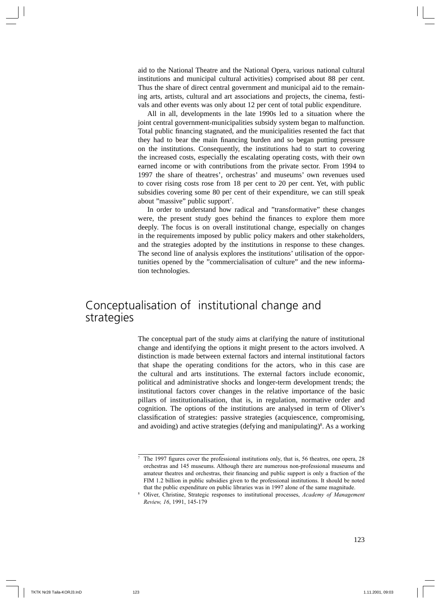aid to the National Theatre and the National Opera, various national cultural institutions and municipal cultural activities) comprised about 88 per cent. Thus the share of direct central government and municipal aid to the remaining arts, artists, cultural and art associations and projects, the cinema, festivals and other events was only about 12 per cent of total public expenditure.

All in all, developments in the late 1990s led to a situation where the joint central government-municipalities subsidy system began to malfunction. Total public financing stagnated, and the municipalities resented the fact that they had to bear the main financing burden and so began putting pressure on the institutions. Consequently, the institutions had to start to covering the increased costs, especially the escalating operating costs, with their own earned income or with contributions from the private sector. From 1994 to 1997 the share of theatres', orchestras' and museums' own revenues used to cover rising costs rose from 18 per cent to 20 per cent. Yet, with public subsidies covering some 80 per cent of their expenditure, we can still speak about "massive" public support<sup>7</sup>.

In order to understand how radical and "transformative" these changes were, the present study goes behind the finances to explore them more deeply. The focus is on overall institutional change, especially on changes in the requirements imposed by public policy makers and other stakeholders, and the strategies adopted by the institutions in response to these changes. The second line of analysis explores the institutions' utilisation of the opportunities opened by the "commercialisation of culture" and the new information technologies.

### Conceptualisation of institutional change and strategies

The conceptual part of the study aims at clarifying the nature of institutional change and identifying the options it might present to the actors involved. A distinction is made between external factors and internal institutional factors that shape the operating conditions for the actors, who in this case are the cultural and arts institutions. The external factors include economic, political and administrative shocks and longer-term development trends; the institutional factors cover changes in the relative importance of the basic pillars of institutionalisation, that is, in regulation, normative order and cognition. The options of the institutions are analysed in term of Oliver's classification of strategies: passive strategies (acquiescence, compromising, and avoiding) and active strategies (defying and manipulating)<sup>8</sup>. As a working

 $7$  The 1997 figures cover the professional institutions only, that is, 56 theatres, one opera, 28 orchestras and 145 museums. Although there are numerous non-professional museums and amateur theatres and orchestras, their financing and public support is only a fraction of the FIM 1.2 billion in public subsidies given to the professional institutions. It should be noted

that the public expenditure on public libraries was in 1997 alone of the same magnitude. 8 Oliver, Christine, Strategic responses to institutional processes, *Academy of Management Review, 16*, 1991, 145-179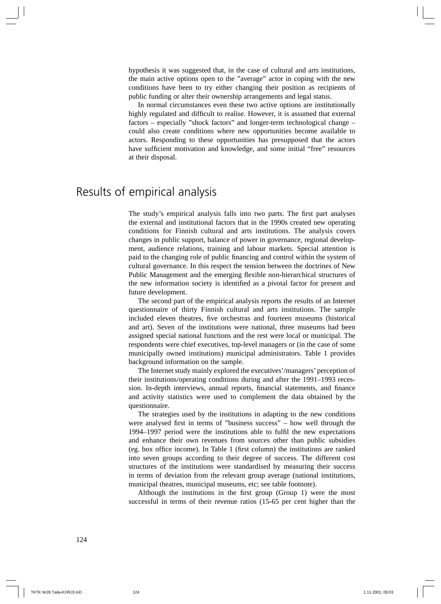hypothesis it was suggested that, in the case of cultural and arts institutions, the main active options open to the "average" actor in coping with the new conditions have been to try either changing their position as recipients of public funding or alter their ownership arrangements and legal status.

In normal circumstances even these two active options are institutionally highly regulated and difficult to realise. However, it is assumed that external factors – especially "shock factors" and longer-term technological change – could also create conditions where new opportunities become available to actors. Responding to these opportunities has presupposed that the actors have sufficient motivation and knowledge, and some initial "free" resources at their disposal.

#### Results of empirical analysis

The study's empirical analysis falls into two parts. The first part analyses the external and institutional factors that in the 1990s created new operating conditions for Finnish cultural and arts institutions. The analysis covers changes in public support, balance of power in governance, regional development, audience relations, training and labour markets. Special attention is paid to the changing role of public financing and control within the system of cultural governance. In this respect the tension between the doctrines of New Public Management and the emerging flexible non-hierarchical structures of the new information society is identified as a pivotal factor for present and future development.

The second part of the empirical analysis reports the results of an Internet questionnaire of thirty Finnish cultural and arts institutions. The sample included eleven theatres, five orchestras and fourteen museums (historical and art). Seven of the institutions were national, three museums had been assigned special national functions and the rest were local or municipal. The respondents were chief executives, top-level managers or (in the case of some municipally owned institutions) municipal administrators. Table 1 provides background information on the sample.

The Internet study mainly explored the executives'/managers' perception of their institutions/operating conditions during and after the 1991–1993 recession. In-depth interviews, annual reports, financial statements, and finance and activity statistics were used to complement the data obtained by the questionnaire.

The strategies used by the institutions in adapting to the new conditions were analysed first in terms of "business success" – how well through the 1994–1997 period were the institutions able to fulfil the new expectations and enhance their own revenues from sources other than public subsidies (eg. box office income). In Table 1 (first column) the institutions are ranked into seven groups according to their degree of success. The different cost structures of the institutions were standardised by measuring their success in terms of deviation from the relevant group average (national institutions, municipal theatres, municipal museums, etc; see table footnote).

Although the institutions in the first group (Group  $\Gamma$ ) were the most successful in terms of their revenue ratios (15-65 per cent higher than the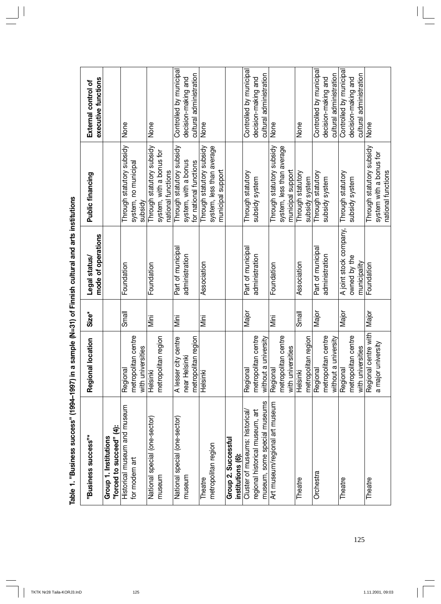| "Business success"*                                                                               | location<br>Regional                                         | Size*        | mode of operations<br>Legal status/                    | Public financing                                                            | executive functions<br>External control of                                |
|---------------------------------------------------------------------------------------------------|--------------------------------------------------------------|--------------|--------------------------------------------------------|-----------------------------------------------------------------------------|---------------------------------------------------------------------------|
| "forced to succeed" (4):<br>Group 1. Institutions                                                 |                                                              |              |                                                        |                                                                             |                                                                           |
| Historical museum and museum<br>for modern art                                                    | metropolitan centre<br>with universities<br>Regional         | Small        | Foundation                                             | Through statutory subsidy<br>system, no municipal<br>vpisdy                 | None                                                                      |
| National special (one-sector)<br>museum                                                           | metropolitan region<br>Helsinki                              | Mini         | Foundation                                             | Through statutory subsidy<br>system, with a bonus for<br>national functions | None                                                                      |
| National special (one-sector)<br>museum                                                           | A lesser city centre<br>metropolitan region<br>near Helsinki | Mini         | Part of municipal<br>administration                    | Through statutory subsidy<br>system, with a bonus<br>for national functions | Controlled by municipal<br>cultural administration<br>decision-making and |
| metropolitan region<br>Theatre                                                                    | Helsinki                                                     | iai<br>Mini  | Association                                            | Through statutory subsidy<br>system, less than average<br>municipal support | None                                                                      |
| Group 2. Successful<br>institutions (6):                                                          |                                                              |              |                                                        |                                                                             |                                                                           |
| museum, some special museums<br>regional historical museum, art<br>Cluster of museums: historical | metropolitan centre<br>university<br>without a<br>Regional   | Major        | Part of municipal<br>administration                    | Through statutory<br>subsidy system                                         | Controlled by municipal<br>cultural administration<br>decision-making and |
| Art museum/regional art museum                                                                    | metropolitan centre<br>with universities<br>Regional         | <u>Viini</u> | Foundation                                             | Through statutory subsidy<br>system, less than average<br>municipal support | None                                                                      |
| Theatre                                                                                           | metropolitan region<br>Helsinki                              | Small        | Association                                            | Through statutory<br>subsidy system                                         | None                                                                      |
| Orchestra                                                                                         | metropolitan centre<br>university<br>without a<br>Regional   | Major        | Part of municipal<br>administration                    | Through statutory<br>subsidy system                                         | Controlled by municipal<br>cultural administration<br>decision-making and |
| Theatre                                                                                           | metropolitan centre<br>with universities<br>Regional         | Major        | A joint stock company,<br>owned by the<br>municipality | Through statutory<br>subsidy system                                         | Controlled by municipal<br>cultural administration<br>decision-making and |
| Theatre                                                                                           | Regional centre with<br>a major university                   | Major        | Foundation                                             | Through statutory subsidy<br>system with a bonus for<br>national functions  | None                                                                      |

Table 1. "Business success" (1994-1997) in a sample (N=31) of Finnish cultural and arts institutions **Table 1. "Business success" (1994–1997) in a sample (N=31) of Finnish cultural and arts institutions**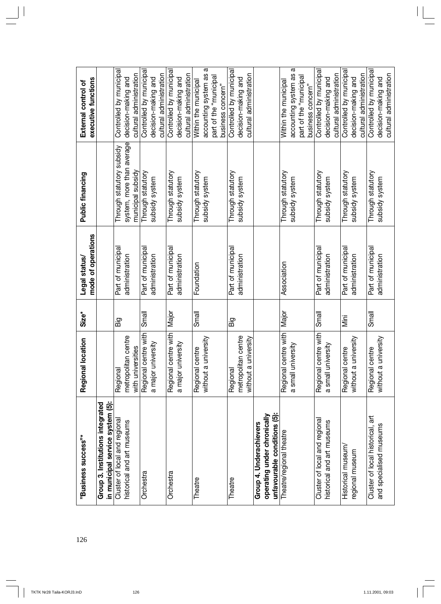| 126 | "Business success"*                                                                    | location<br>Regional                                       | Size <sup>*</sup> | mode of operations<br>Legal status/ | Public financing                                                            | executive functions<br>External control of                                                       |
|-----|----------------------------------------------------------------------------------------|------------------------------------------------------------|-------------------|-------------------------------------|-----------------------------------------------------------------------------|--------------------------------------------------------------------------------------------------|
|     | in municipal service system (5):<br>Group 3. Institutions integrated                   |                                                            |                   |                                     |                                                                             |                                                                                                  |
|     | Cluster of local and regional<br>historical and art museums                            | metropolitan centre<br>with universities<br>Regional       | Бä                | Part of municipal<br>administration | system, more than average<br>Through statutory subsidy<br>municipal subsidy | Controlled by municipal<br>cultural administration<br>decision-making and                        |
|     | Orchestra                                                                              | Regional centre with<br>a major university                 | Small             | Part of municipal<br>administration | Through statutory<br>subsidy system                                         | Controlled by municipal<br>cultural administration<br>decision-making and                        |
|     | Orchestra                                                                              | centre with<br>a major university<br>Regional              | Major             | Part of municipal<br>administration | Through statutory<br>subsidy system                                         | Controlled by municipal<br>cultural administration<br>decision-making and                        |
|     | Theatre                                                                                | university<br>Regional centre<br>without a                 | Small             | Foundation                          | Through statutory<br>subsidy system                                         | ω<br>accounting system as<br>part of the "municipal<br>Within the municipal<br>business concern" |
|     | Theatre                                                                                | metropolitan centre<br>university<br>without a<br>Regional | Big               | Part of municipal<br>administration | Through statutory<br>subsidy system                                         | Controlled by municipal<br>cultural administration<br>decision-making and                        |
|     | unfavourable conditions (5):<br>operating under chronically<br>Group 4. Underachievers |                                                            |                   |                                     |                                                                             |                                                                                                  |
|     | Theatre/regional theatre                                                               | Regional centre with<br>a small university                 | Major             | Association                         | Through statutory<br>subsidy system                                         | ω<br>accounting system as<br>part of the "municipal<br>Within the municipal<br>business concern" |
|     | Cluster of local and regional<br>historical and art museums                            | Regional centre with<br>a small university                 | Small             | Part of municipal<br>administration | Through statutory<br>subsidy system                                         | Controlled by municipal<br>cultural administration<br>decision-making and                        |
|     | Historical museum/<br>regional museum                                                  | university<br>Regional centre<br>without a                 | Mini              | Part of municipal<br>administration | Through statutory<br>subsidy system                                         | Controlled by municipal<br>cultural administration<br>decision-making and                        |
|     | Cluster of local historical, art<br>and specialised museums                            | university<br>Regional centre<br>without a                 | Small             | Part of municipal<br>administration | Through statutory<br>subsidy system                                         | Controlled by municipal<br>cultural administration<br>decision-making and                        |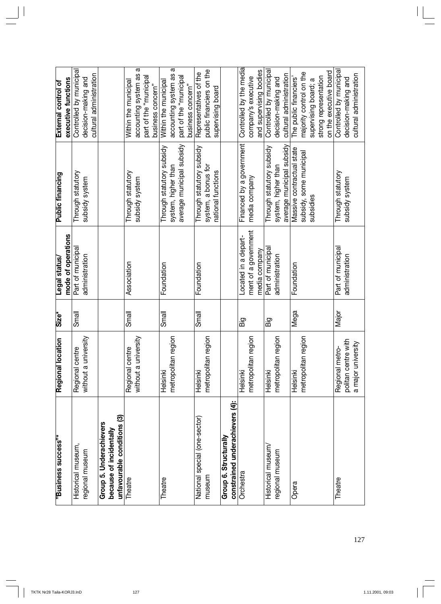| "Business success"*                                                                | location<br>Regional                       | Size* | mode of operations<br>Legal status/ | <b>Public financing</b>                          | executive functions<br>External control of          |
|------------------------------------------------------------------------------------|--------------------------------------------|-------|-------------------------------------|--------------------------------------------------|-----------------------------------------------------|
| Historical museum,                                                                 | <b>centre</b><br>Regional                  | Small | Part of municipa                    | Through statutory                                | Controlled by municipal                             |
| regional museum                                                                    | university<br>without a                    |       | administration                      | subsidy system                                   | decision-making and                                 |
|                                                                                    |                                            |       |                                     |                                                  | cultural administration                             |
| ම<br>Group 5. Underachievers<br>unfavourable conditions<br>because of incidentally |                                            |       |                                     |                                                  |                                                     |
| Theatre                                                                            | university<br>Regional centre<br>without a | Small | Association                         | Through statutory<br>subsidy system              | ω<br>accounting system as<br>Within the municipal   |
|                                                                                    |                                            |       |                                     |                                                  | part of the "municipal<br>business concern"         |
| Theatre                                                                            | Helsinki                                   | Small | Foundation                          | Through statutory subsidy                        | Within the municipal                                |
|                                                                                    | metropolitan region                        |       |                                     | average municipal subsidy<br>system, higher than | ω<br>accounting system as<br>part of the "municipal |
|                                                                                    |                                            |       |                                     |                                                  | business concern"                                   |
| National special (one-sector)                                                      | Helsinki                                   | Small | Foundation                          | Through statutory subsidy                        | Representatives of the                              |
| museum                                                                             | metropolitan region                        |       |                                     | system, a bonus for                              | public financiers on the                            |
|                                                                                    |                                            |       |                                     | national functions                               | supervising board                                   |
| Group 6. Structurally                                                              |                                            |       |                                     |                                                  |                                                     |
| constrained underachievers (4):                                                    |                                            |       |                                     |                                                  |                                                     |
| Orchestra                                                                          | Helsinki                                   | Бig   | Located in a depart-                | Financed by a government                         | Controlled by the media                             |
|                                                                                    | metropolitan region                        |       | ment of a government                | media company                                    | company's executive                                 |
|                                                                                    |                                            |       | media company                       |                                                  | and supervising bodies                              |
| Historical museum/                                                                 | Helsinki                                   | Бig   | Part of municipal                   | Through statutory subsidy                        | Controlled by municipal                             |
| regional museum                                                                    | an region<br>metropolit                    |       | administration                      | average municipal subsidy<br>system, higher than | cultural administration<br>decision-making and      |
| Opera                                                                              | Helsinki                                   | Mega  | Foundation                          | Massive contractual state                        | The public financiers'                              |
|                                                                                    | metropolitan region                        |       |                                     | subsidy, some municipal                          | majority control on the                             |
|                                                                                    |                                            |       |                                     | subsidies                                        | supervising board; a                                |
|                                                                                    |                                            |       |                                     |                                                  | strong representation                               |
|                                                                                    |                                            |       |                                     |                                                  | on the executive board                              |
| Theatre                                                                            | Regional metro-                            | Major | Part of municipal                   | Through statutory                                | Controlled by municipal                             |
|                                                                                    | politan centre with<br>a major university  |       | administration                      | subsidy system                                   | cultural administration<br>decision-making and      |
|                                                                                    |                                            |       |                                     |                                                  |                                                     |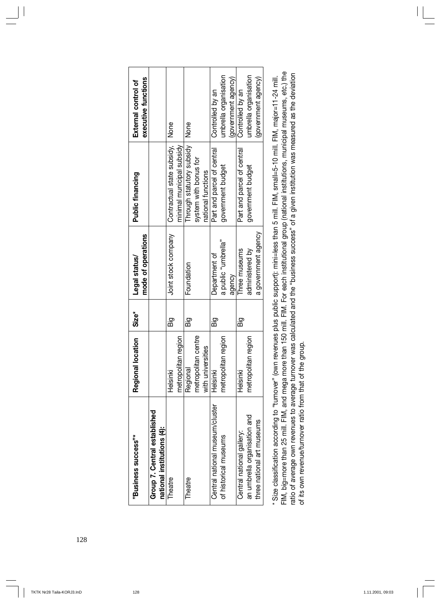| "Business success"*             | location<br>Regional | Size*     | Legal status/       | <b>Public financing</b>    | External control of   |
|---------------------------------|----------------------|-----------|---------------------|----------------------------|-----------------------|
|                                 |                      |           | mode of operations  |                            | executive functions   |
| Group 7. Central established    |                      |           |                     |                            |                       |
| national institutions (4):      |                      |           |                     |                            |                       |
| Theatre                         | Helsinki             | Big       | Joint stock company | Contractual state subsidy, | None                  |
|                                 | metropolitan region  |           |                     | minimal municipal subsidy  |                       |
| Theatre                         | Regional             | ig<br>Big | Foundation          | Through statutory subsidy  | <b>None</b>           |
|                                 | metropolitan centre  |           |                     | system with bonus for      |                       |
|                                 | with universities    |           |                     | national functions         |                       |
| Central national museum/cluster | Helsinki             | Big       | Department of       | Part and parcel of central | Controlled by an      |
| of historical museums           | metropolitan region  |           | a public "umbrella" | government budget          | umbrella organisation |
|                                 |                      |           | agency              |                            | (government agency)   |
| Central national gallery:       | Helsinki             | Big       | Three museums       | Part and parcel of central | Controlled by an      |
| an umbrella organisation and    | metropolitan region  |           | administered by     | government budget          | umbrella organisation |
| three national art museums      |                      |           | a government agency |                            | (government agency)   |
|                                 |                      |           |                     |                            |                       |

| FIM, big=more than 25 mill. FIM, and mega more than 150 mill. FIM. For each institutional group (national institutions, municipal museums, etc.) the<br>* Size classification according to "turnover" (own revenues plus public support): mini=less than 5 mill. FIM, small=5-10 mill. FIM, major=11-24 mill. |
|---------------------------------------------------------------------------------------------------------------------------------------------------------------------------------------------------------------------------------------------------------------------------------------------------------------|
| ratio of average own revenues to average turnover was calculated and the "business success" of a given institution was measured as the deviation<br>of its own revenue/turnover ratio from that of the group.                                                                                                 |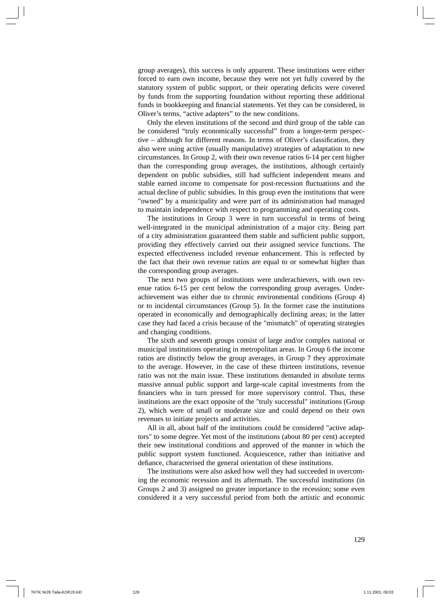group averages), this success is only apparent. These institutions were either forced to earn own income, because they were not yet fully covered by the statutory system of public support, or their operating deficits were covered by funds from the supporting foundation without reporting these additional funds in bookkeeping and financial statements. Yet they can be considered, in Oliver's terms, "active adapters" to the new conditions.

Only the eleven institutions of the second and third group of the table can be considered "truly economically successful" from a longer-term perspective – although for different reasons. In terms of Oliver's classification, they also were using active (usually manipulative) strategies of adaptation to new circumstances. In Group 2, with their own revenue ratios 6-14 per cent higher than the corresponding group averages, the institutions, although certainly dependent on public subsidies, still had sufficient independent means and stable earned income to compensate for post-recession fluctuations and the actual decline of public subsidies. In this group even the institutions that were "owned" by a municipality and were part of its administration had managed to maintain independence with respect to programming and operating costs.

The institutions in Group 3 were in turn successful in terms of being well-integrated in the municipal administration of a major city. Being part of a city administration guaranteed them stable and sufficient public support, providing they effectively carried out their assigned service functions. The expected effectiveness included revenue enhancement. This is reflected by the fact that their own revenue ratios are equal to or somewhat higher than the corresponding group averages.

The next two groups of institutions were underachievers, with own revenue ratios 6-15 per cent below the corresponding group averages. Underachievement was either due to chronic environmental conditions (Group 4) or to incidental circumstances (Group 5). In the former case the institutions operated in economically and demographically declining areas; in the latter case they had faced a crisis because of the "mismatch" of operating strategies and changing conditions.

The sixth and seventh groups consist of large and/or complex national or municipal institutions operating in metropolitan areas. In Group 6 the income ratios are distinctly below the group averages, in Group 7 they approximate to the average. However, in the case of these thirteen institutions, revenue ratio was not the main issue. These institutions demanded in absolute terms massive annual public support and large-scale capital investments from the financiers who in turn pressed for more supervisory control. Thus, these institutions are the exact opposite of the "truly successful" institutions (Group 2), which were of small or moderate size and could depend on their own revenues to initiate projects and activities.

All in all, about half of the institutions could be considered "active adaptors" to some degree. Yet most of the institutions (about 80 per cent) accepted their new institutional conditions and approved of the manner in which the public support system functioned. Acquiescence, rather than initiative and defiance, characterised the general orientation of these institutions.

The institutions were also asked how well they had succeeded in overcoming the economic recession and its aftermath. The successful institutions (in Groups 2 and 3) assigned no greater importance to the recession; some even considered it a very successful period from both the artistic and economic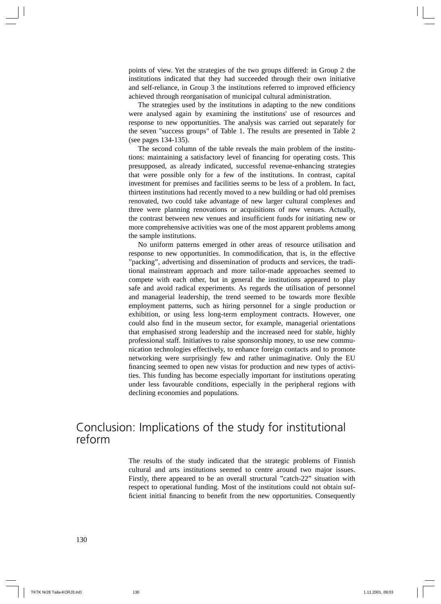points of view. Yet the strategies of the two groups differed: in Group 2 the institutions indicated that they had succeeded through their own initiative and self-reliance, in Group 3 the institutions referred to improved efficiency achieved through reorganisation of municipal cultural administration.

The strategies used by the institutions in adapting to the new conditions were analysed again by examining the institutions' use of resources and response to new opportunities. The analysis was carried out separately for the seven "success groups" of Table 1. The results are presented in Table 2 (see pages 134-135).

The second column of the table reveals the main problem of the institutions: maintaining a satisfactory level of financing for operating costs. This presupposed, as already indicated, successful revenue-enhancing strategies that were possible only for a few of the institutions. In contrast, capital investment for premises and facilities seems to be less of a problem. In fact, thirteen institutions had recently moved to a new building or had old premises renovated, two could take advantage of new larger cultural complexes and three were planning renovations or acquisitions of new venues. Actually, the contrast between new venues and insufficient funds for initiating new or more comprehensive activities was one of the most apparent problems among the sample institutions.

No uniform patterns emerged in other areas of resource utilisation and response to new opportunities. In commodification, that is, in the effective "packing", advertising and dissemination of products and services, the traditional mainstream approach and more tailor-made approaches seemed to compete with each other, but in general the institutions appeared to play safe and avoid radical experiments. As regards the utilisation of personnel and managerial leadership, the trend seemed to be towards more flexible employment patterns, such as hiring personnel for a single production or exhibition, or using less long-term employment contracts. However, one could also find in the museum sector, for example, managerial orientations that emphasised strong leadership and the increased need for stable, highly professional staff. Initiatives to raise sponsorship money, to use new communication technologies effectively, to enhance foreign contacts and to promote networking were surprisingly few and rather unimaginative. Only the EU financing seemed to open new vistas for production and new types of activities. This funding has become especially important for institutions operating under less favourable conditions, especially in the peripheral regions with declining economies and populations.

### Conclusion: Implications of the study for institutional reform

The results of the study indicated that the strategic problems of Finnish cultural and arts institutions seemed to centre around two major issues. Firstly, there appeared to be an overall structural "catch-22" situation with respect to operational funding. Most of the institutions could not obtain sufficient initial financing to benefit from the new opportunities. Consequently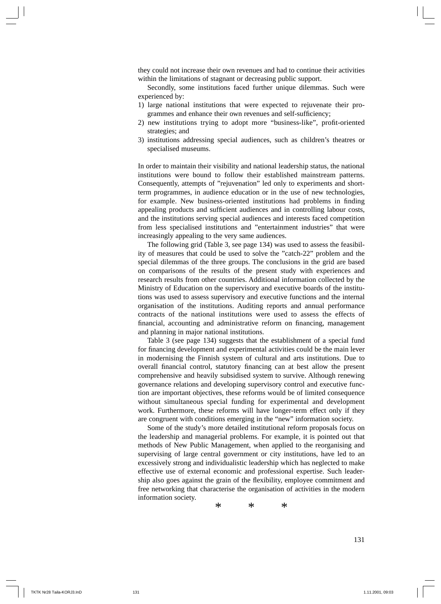they could not increase their own revenues and had to continue their activities within the limitations of stagnant or decreasing public support.

Secondly, some institutions faced further unique dilemmas. Such were experienced by:

- 1) large national institutions that were expected to rejuvenate their programmes and enhance their own revenues and self-sufficiency;
- 2) new institutions trying to adopt more "business-like", profit-oriented strategies; and
- 3) institutions addressing special audiences, such as children's theatres or specialised museums.

In order to maintain their visibility and national leadership status, the national institutions were bound to follow their established mainstream patterns. Consequently, attempts of "rejuvenation" led only to experiments and shortterm programmes, in audience education or in the use of new technologies, for example. New business-oriented institutions had problems in finding appealing products and sufficient audiences and in controlling labour costs, and the institutions serving special audiences and interests faced competition from less specialised institutions and "entertainment industries" that were increasingly appealing to the very same audiences.

The following grid (Table 3, see page 134) was used to assess the feasibility of measures that could be used to solve the "catch-22" problem and the special dilemmas of the three groups. The conclusions in the grid are based on comparisons of the results of the present study with experiences and research results from other countries. Additional information collected by the Ministry of Education on the supervisory and executive boards of the institutions was used to assess supervisory and executive functions and the internal organisation of the institutions. Auditing reports and annual performance contracts of the national institutions were used to assess the effects of financial, accounting and administrative reform on financing, management and planning in major national institutions.

Table 3 (see page 134) suggests that the establishment of a special fund for financing development and experimental activities could be the main lever in modernising the Finnish system of cultural and arts institutions. Due to overall financial control, statutory financing can at best allow the present comprehensive and heavily subsidised system to survive. Although renewing governance relations and developing supervisory control and executive function are important objectives, these reforms would be of limited consequence without simultaneous special funding for experimental and development work. Furthermore, these reforms will have longer-term effect only if they are congruent with conditions emerging in the "new" information society.

Some of the study's more detailed institutional reform proposals focus on the leadership and managerial problems. For example, it is pointed out that methods of New Public Management, when applied to the reorganising and supervising of large central government or city institutions, have led to an excessively strong and individualistic leadership which has neglected to make effective use of external economic and professional expertise. Such leadership also goes against the grain of the flexibility, employee commitment and free networking that characterise the organisation of activities in the modern information society.

\* \* \*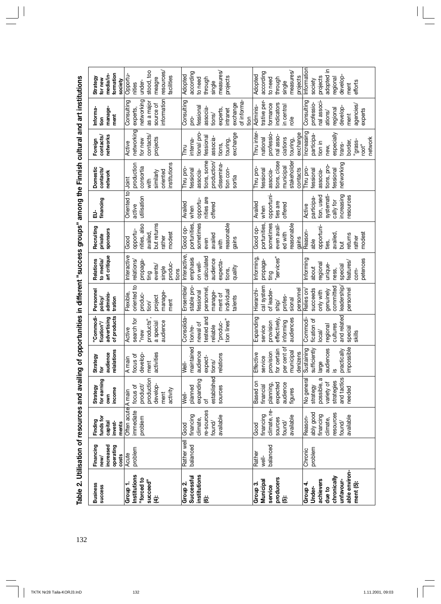Table 2. Utilisation of resources and availing of opportunities in different "success groups" among the Finnish cultural and art institutions 132**Table 2. Utilisation of resources and availing of opportunities in different "success groups" among the Finnish cultural and art institutions**

| <b>Business</b><br>success                                                                          | Financing<br>increased<br>operating<br>costs<br>new/ | funds for<br>Finding<br>invest-<br>capital<br>ments                              | for earning<br>Strategy<br>income<br>δWη                                                             | lations<br>ience<br>Strategy<br>ă<br>relai<br>tōr                                            | "Commodi-<br>of products<br>advertising<br>fication"/                                       | Personnel<br>adminis-<br>policy/<br>tration                                                    | art critique<br>Relations<br>to media/                                                          | Recruiting<br>sponsors<br>private                                                                   | financing<br>品                                                                           | <b>Domestic</b><br>contacts/<br>network                                                              | networks<br>contacts/<br>Foreign                                                                              | Informa-<br>manage-<br>ment<br>tion                                                                            | formation<br>media/in-<br>Strategy<br>for new<br>society                                    |
|-----------------------------------------------------------------------------------------------------|------------------------------------------------------|----------------------------------------------------------------------------------|------------------------------------------------------------------------------------------------------|----------------------------------------------------------------------------------------------|---------------------------------------------------------------------------------------------|------------------------------------------------------------------------------------------------|-------------------------------------------------------------------------------------------------|-----------------------------------------------------------------------------------------------------|------------------------------------------------------------------------------------------|------------------------------------------------------------------------------------------------------|---------------------------------------------------------------------------------------------------------------|----------------------------------------------------------------------------------------------------------------|---------------------------------------------------------------------------------------------|
| Institutions<br>"forced to<br>succeed"<br>Group 1.<br>Ë                                             | problem<br>Acute                                     | Often acute A main<br>immediate<br>problem                                       | production<br>develop-<br>product/<br>focus of<br>activity<br>ment                                   | activities<br>develop-<br>focus of<br>A main<br>ment                                         | search for<br>products"<br>audience<br>a special<br>Active<br>"new                          | oriented to<br>manage-<br>Flexible,<br>produc-<br>project<br>tion/<br>ment                     | nteractive<br>elations/<br>propaga<br>produc-<br>events<br>single<br>tions<br>ting              | but returns<br>nities, also<br>opportu-<br>availed,<br>modest<br>rather<br>Good                     | Oriented to<br>utilisation<br>active                                                     | institutions<br>production<br>consortia<br>oriented<br>similarly<br>Joint<br>with                    | networking<br>contacts<br>projects<br>for new<br>Active                                                       | information<br>networking<br>Consulting<br>as a major<br>source of<br>experts,                                 | stood, too<br>resources<br>Opportu-<br>racilities<br>meagre<br>under-<br>nities             |
| institutions<br>Successful<br>Group 2.<br>ۊ                                                         | Rather well<br>balanced                              | re-sources<br>financing<br>available<br>climate,<br>found/<br>Good               | established<br>expanding<br>planned<br>sources<br>Well-<br>৳                                         | maintained<br>audience<br>relations<br>expect-<br>tions/<br>Well                             | tested and<br>Consolida<br>tion lines"<br>"produc-<br>newal of<br>reliable<br>tion/re-      | stable pro-<br>Ensemble/<br>personne<br>ndividual<br>essional<br>manage-<br>ment of<br>talents | Interactive,<br>calculated<br>emphasis<br>audience<br>expecta-<br>on well-<br>quality<br>tions, | sometimes<br>easonable<br>portunities,<br>Good op-<br>availed<br>gains<br>even<br>with              | nities are<br>opportu-<br>Availed<br>offered<br>when                                     | tions, some<br>production<br>dissemina-<br>tion con-<br>Thru pro-<br>fessional<br>associa-<br>sortia | exchange<br>tional pro-<br>fessional<br>associa-<br>interna-<br>touring,<br>tions,<br><b>Thru</b>             | of informa-<br>Consulting<br>exchange<br>fessional<br>associa<br>experts,<br>intranet<br>tions/<br>ion<br>pro- | measures/<br>according<br>Adopted<br>projects<br>through<br>to need<br>single               |
| producers<br>Municipal<br>Group <sub>3</sub> .<br>service<br>$\ddot{\mathbf{5}}$                    | balanced<br>Rather<br>well-                          | climate, re-<br>financing<br>available<br>sources<br>found/<br>Good              | Based on<br>expected<br>audience<br>planning<br>financial<br>figures                                 | per cent of<br>for certain<br>municipal<br>denizens<br>provision<br>Effective<br>service     | Expanding<br>effectively<br>audiences<br>informing<br>provision<br>service                  | cal system<br>Hierarchi-<br>personnel<br>of leader-<br>profes-<br>sional<br>ship/              | "services"<br>Informing<br>propaga-<br>ting                                                     | sometimes<br>portunities,<br>easonable<br>even avail-<br>Good op-<br>sd with<br>gains               | opportuni<br>Availed<br>ties are<br>offered<br>when                                      | tions, close<br>stakeholder<br>municipal<br>Thru pro-<br>contacts<br>fessional<br>associa-           | Thru inter-<br>professio-<br>exchange<br>nal asso-<br>ciations<br>national<br>touring,                        | trative per-<br>indicators<br>formance<br>in central<br>Adminis-<br>role                                       | measures<br>according<br>Adopted<br>projects<br>to need<br>through<br>single                |
| able environ-<br>chronically<br>achievers<br>unfavour-<br>ment (5):<br>Group 4.<br>Under-<br>due to | problem<br>Chronic                                   | esources<br>ably good<br>financing<br>available<br>Reason-<br>climate,<br>found/ | and tactics<br>$\omega$<br>No general<br>strategies<br>variety of<br>possible,<br>strategy<br>needed | impossible<br>sufficiently<br>Sustaining<br>iences<br>practically<br>large<br>ă<br><u>.ഗ</u> | and related<br>fication of<br>Commodi<br>cultures<br>regional<br>special<br>ocal/<br>skills | committed<br>eadership<br>succeeds<br>Relies on<br>personnel<br>genuinely<br>only with         | nforming<br>petences<br>features/<br>egional<br>unique-<br>special<br>about<br>ness,<br>com-    | opportuni-<br>Reason-<br>modest<br>availed,<br>returns<br>rather<br>able<br>ties,<br>$\overline{a}$ | systemati-<br>tion, used<br>increasing<br>resources<br>participa-<br>cally for<br>Active | networking<br>tions, pro-<br>Thru pro-<br>fessional<br>fessional<br>associa-                         | Increasing<br>especially<br>participa-<br>network<br>border,<br>"grass-<br>tion in<br>trans-<br>root"<br>new, | Consulting<br>professio-<br>nal associ<br>agencies/<br>develop-<br>regional<br>experts<br>ations/<br>ment      | Information<br>adopted in<br>develop-<br>projects<br>regional<br>society<br>efforts<br>ment |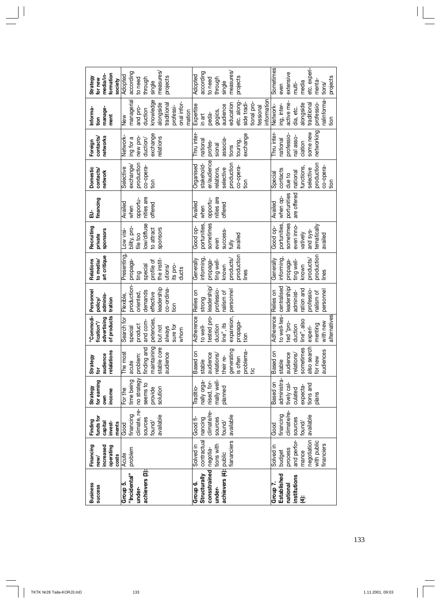| <b>Business</b><br><b>SUCCeSS</b>                                           | Financing<br>increased<br>operating<br>costs<br>new/                                               | funds for<br>Finding<br>invest-<br>capital<br>ments                  | for earning<br>Strategy<br>income<br>own                                            | relalations<br>audience<br>Strategy<br>è                                                                     | "Commodi-<br>of products<br>advertising<br>fication"/                                                              | Personnel<br>adminis-<br>policy<br>tration                                                               | art critique<br>Relations<br>to media/                                                                | Recruiting<br>sponsors<br>private                                                                    | financing<br>긃                                       | <b>Domestic</b><br>contacts,<br>network                                                                | networks<br>contacts<br>Foreign                                                          | manage<br>Informa<br>ment<br>tion                                                                                                       | formation<br>media/in-<br>Strategy<br>for new<br>society                                          |
|-----------------------------------------------------------------------------|----------------------------------------------------------------------------------------------------|----------------------------------------------------------------------|-------------------------------------------------------------------------------------|--------------------------------------------------------------------------------------------------------------|--------------------------------------------------------------------------------------------------------------------|----------------------------------------------------------------------------------------------------------|-------------------------------------------------------------------------------------------------------|------------------------------------------------------------------------------------------------------|------------------------------------------------------|--------------------------------------------------------------------------------------------------------|------------------------------------------------------------------------------------------|-----------------------------------------------------------------------------------------------------------------------------------------|---------------------------------------------------------------------------------------------------|
| achievers (3):<br>"Incidental"<br>Group 5.<br>under-                        | problem<br>Acute                                                                                   | climate, re-<br>financing<br>available<br>sources<br>found/<br>Good  | no strategy<br>time being<br>seems to<br>solution<br>provide<br>For the             | maintaining<br>stable core<br>finding and<br>most<br>audience<br>problem:<br>acute<br>Le<br>The i            | Search for<br>petencies<br>and com-<br>product<br>sure for<br>but not<br>always<br>special<br>whom                 | production<br>eadership<br>co-ordina<br>demands<br>oriented,<br>effective<br>Flexible,<br>tion           | Presenting<br>the instit-<br>profile of<br>propaga-<br>special<br>ts pro-<br>utions/<br>ducts<br>ting | low/diffuse<br>bility, pro-<br>sponsors<br>to attract<br>Low visi-<br>file too                       | nities are<br>opportu-<br>Availed<br>offered<br>when | production<br>exchange<br>co-opera-<br>Selective<br>$\frac{5}{10}$                                     | exchange<br>Network-<br>new pro-<br>elations<br>ing for a<br>duction/                    | knowledge<br>managerial<br>onal infor-<br>alongside<br>traditiona<br>professi-<br>and pro-<br>duction<br>mation<br>New                  | measures/<br>according<br>Adopted<br>projects<br>to need<br>through<br>single                     |
| achievers (4): public<br>consstrained<br>Structurally<br>Group 6.<br>under- | contractual<br><b>iananciers</b><br>tions with<br>Solved in<br>negotia-                            | climate/re-<br>available<br>Good fi-<br>sources<br>nancing<br>found/ | mally well-<br>nally orga-<br>nised, for-<br>planned<br>Traditio-                   | generating<br>problema-<br>tic<br>Based on<br>audience<br>\sng<br>ഉ<br>is often<br>stable<br>their<br>relati | tested pro-<br>Adherence<br>expansion,<br>propaga-<br>line", its<br>duction<br>to well-<br>tion                    | leadership<br>professio-<br>personnel<br>Relies on<br>nalism of<br>strong                                | production<br>informing,<br>Generally<br>products/<br>ting well-<br>propaga-<br>known<br>ines         | sometimes<br>portunities,<br>Good op-<br>success-<br>availed<br>even<br>fully                        | nities are<br>opportu-<br>Availed<br>offered<br>when | er/audience<br>production<br>Organised<br>stakehold-<br>co-opera<br>relations,<br>selective<br>tion    | exchange<br>Thru inter<br>associa-<br>national<br>touring,<br>profes-<br>sional<br>tions | nformation<br>tional pro-<br>side tradi-<br>etc. along<br>education<br>Expertise<br>audience<br>fessional<br>gogics,<br>peda-<br>in art | measures<br>according<br>Adopted<br>projects<br>through<br>to need<br>single                      |
| Established<br>institutions<br>Group 7.<br>national<br>Ë                    | and perfor-<br>negotiation<br>with public<br>financiers<br>Solved in<br>process<br>budget<br>mance | climate/re-<br>financing<br>available<br>sources<br>found/<br>Good   | administra-<br>Based on<br>tively cal-<br>tions and<br>expecta-<br>culated<br>plans | also search<br>sometimes<br>audiences<br>Based on<br>audience<br>relations/<br>for new<br>stable             | to well-tes-<br>Adherence<br>alternatives<br>line", also<br>ted "pro-<br>with new<br>menting<br>duction<br>experi- | centralised<br>eadership<br>ration and<br>professio-<br>personnel<br>administ-<br>Relies on<br>nalism of | production<br>nforming<br>Generally<br>products<br>ting well-<br>propaga-<br>known<br>lines           | portunities,<br>sometimes<br>tematically<br>even inno<br>Good op-<br>and sys-<br>vatively<br>availed | are offered<br>portunities<br>when op-<br>Availed    | production<br>co-opera-<br>functions<br>selective<br>contacts<br>national<br>Special<br>due to<br>tion | networking<br>some new<br>Thru inter<br>professio<br>nal asso-<br>national<br>ciation    | nalinforma-<br>active me-<br>professio-<br>alongside<br>traditional<br>Network-<br>ing, inter-<br>dia, etc.<br>tion                     | Sometimes<br>etc. experi-<br>extensive<br>projects<br>menta-<br>media<br>multi-<br>tions/<br>even |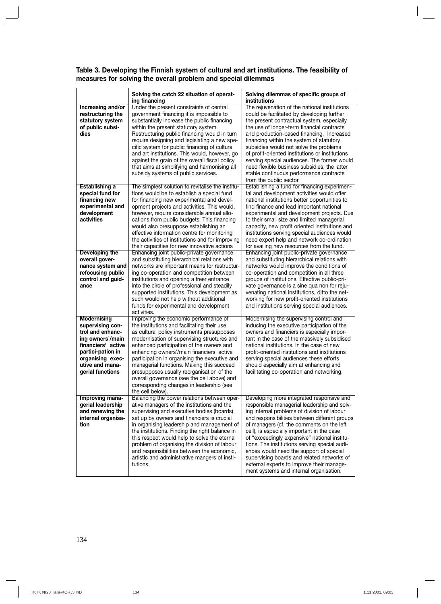| Table 3. Developing the Finnish system of cultural and art institutions. The feasibility of |  |  |
|---------------------------------------------------------------------------------------------|--|--|
| measures for solving the overall problem and special dilemmas                               |  |  |

|                                                                                                                                                                                      | Solving the catch 22 situation of operat-<br>ing financing                                                                                                                                                                                                                                                                                                                                                                                                                                                                           | Solving dilemmas of specific groups of<br>institutions                                                                                                                                                                                                                                                                                                                                                                                                                                                                                                                |
|--------------------------------------------------------------------------------------------------------------------------------------------------------------------------------------|--------------------------------------------------------------------------------------------------------------------------------------------------------------------------------------------------------------------------------------------------------------------------------------------------------------------------------------------------------------------------------------------------------------------------------------------------------------------------------------------------------------------------------------|-----------------------------------------------------------------------------------------------------------------------------------------------------------------------------------------------------------------------------------------------------------------------------------------------------------------------------------------------------------------------------------------------------------------------------------------------------------------------------------------------------------------------------------------------------------------------|
| Increasing and/or<br>restructuring the<br>statutory system<br>of public subsi-<br>dies                                                                                               | Under the present constraints of central<br>government financing it is impossible to<br>substantially increase the public financing<br>within the present statutory system.<br>Restructuring public financing would in turn<br>require designing and legislating a new spe-<br>cific system for public financing of cultural<br>and art institutions. This would, however, go<br>against the grain of the overall fiscal policy<br>that aims at simplifying and harmonising all<br>subsidy systems of public services.               | The rejuvenation of the national institutions<br>could be facilitated by developing further<br>the present contractual system, especially<br>the use of longer-term financial contracts<br>and production-based financing. Increased<br>financing within the system of statutory<br>subsidies would not solve the problems<br>of profit-oriented institutions or institutions<br>serving special audiences. The former would<br>need flexible business subsidies, the latter<br>stable continuous performance contracts<br>from the public sector                     |
| Establishing a<br>special fund for<br>financing new<br>experimental and<br>development<br>activities                                                                                 | The simplest solution to revitalise the institu-<br>tions would be to establish a special fund<br>for financing new experimental and devel-<br>opment projects and activities. This would,<br>however, require considerable annual allo-<br>cations from public budgets. This financing<br>would also presuppose establishing an<br>effective information centre for monitoring<br>the activities of institutions and for improving<br>their capacities for new innovative actions                                                   | Establishing a fund for financing experimen-<br>tal and development activities would offer<br>national institutions better opportunities to<br>find finance and lead important national<br>experimental and development projects. Due<br>to their small size and limited managerial<br>capacity, new profit oriented institutions and<br>institutions serving special audiences would<br>need expert help and network co-ordination<br>for availing new resources from the fund.                                                                                      |
| Developing the<br>overall gover-<br>nance system and<br>refocusing public<br>control and guid-<br>ance                                                                               | Enhancing joint public-private governance<br>and substituting hierarchical relations with<br>networks are important means for restructur-<br>ing co-operation and competition between<br>institutions and opening a freer entrance<br>into the circle of professional and steadily<br>supported institutions. This development as<br>such would not help without additional<br>funds for experimental and development<br>activities.                                                                                                 | Enhancing joint public-private governance<br>and substituting hierarchical relations with<br>networks would improve the conditions of<br>co-operation and competition in all three<br>groups of institutions. Effective public-pri-<br>vate governance is a sine qua non for reju-<br>venating national institutions, ditto the net-<br>working for new profit-oriented institutions<br>and institutions serving special audiences.                                                                                                                                   |
| <b>Modernising</b><br>supervising con-<br>trol and enhanc-<br>ing owners'/main<br>financiers' active<br>partici-pation in<br>organising exec-<br>utive and mana-<br>gerial functions | Improving the economic performance of<br>the institutions and facilitating their use<br>as cultural policy instruments presupposes<br>modernisation of supervising structures and<br>enhanced participation of the owners and<br>enhancing owners'/main financiers' active<br>participation in organising the executive and<br>managerial functions. Making this succeed<br>presupposes usually reorganisation of the<br>overall governance (see the cell above) and<br>corresponding changes in leadership (see<br>the cell below). | Modernising the supervising control and<br>inducing the executive participation of the<br>owners and financiers is especially impor-<br>tant in the case of the massively subsidised<br>national institutions. In the case of new<br>profit-oriented institutions and institutions<br>serving special audiences these efforts<br>should especially aim at enhancing and<br>facilitating co-operation and networking.                                                                                                                                                  |
| Improving mana-<br>gerial leadership<br>and renewing the<br>internal organisa-<br>tion                                                                                               | Balancing the power relations between oper-<br>ative managers of the institutions and the<br>supervising and executive bodies (boards)<br>set up by owners and financiers is crucial<br>in organising leadership and management of<br>the institutions. Finding the right balance in<br>this respect would help to solve the eternal<br>problem of organising the division of labour<br>and responsibilities between the economic,<br>artistic and administrative mangers of insti-<br>tutions.                                      | Developing more integrated responsive and<br>responsible managerial leadership and solv-<br>ing internal problems of division of labour<br>and responsibilities between different groups<br>of managers (cf. the comments on the left<br>cell), is especially important in the case<br>of "exceedingly expensive" national institu-<br>tions. The institutions serving special audi-<br>ences would need the support of special<br>supervising boards and related networks of<br>external experts to improve their manage-<br>ment systems and internal organisation. |